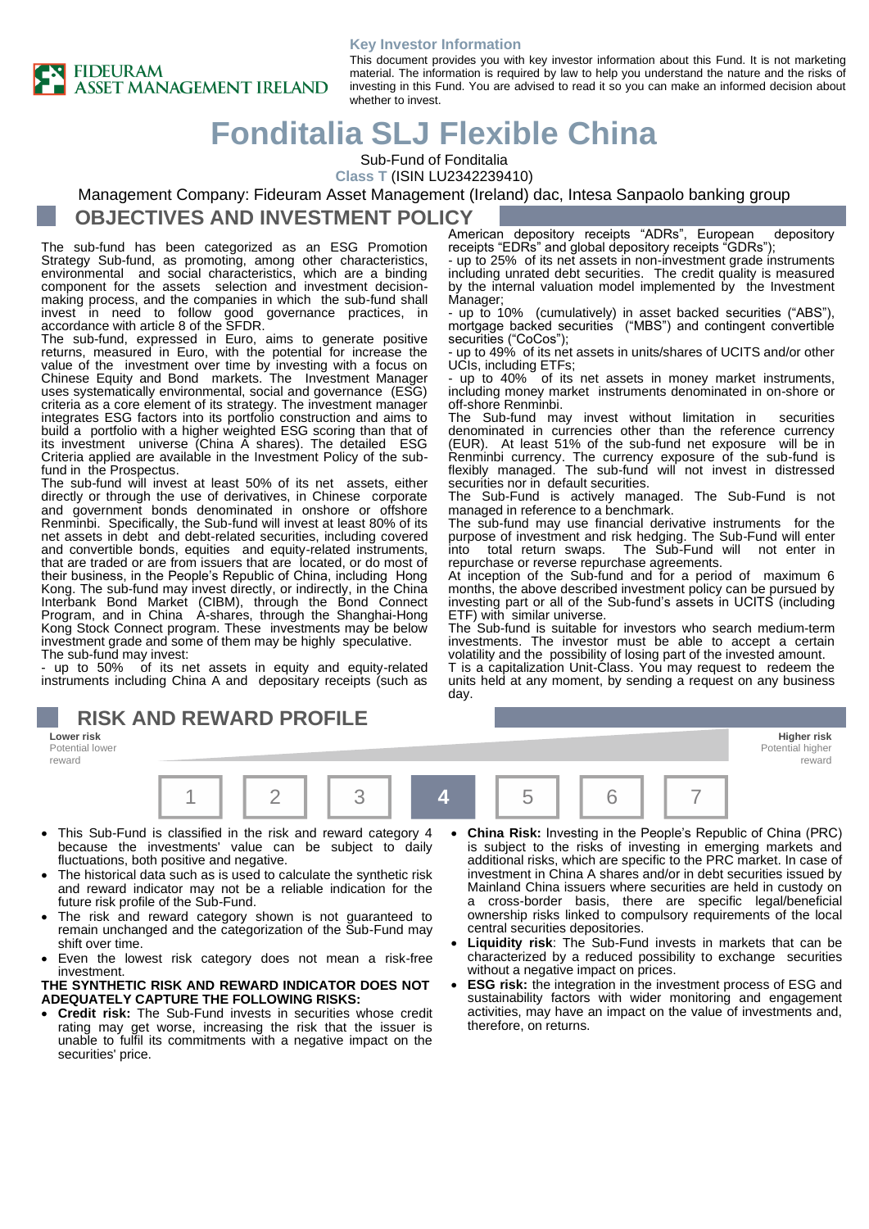

#### **Key Investor Information** This document provides you with key investor information about this Fund. It is not marketing material. The information is required by law to help you understand the nature and the risks of investing in this Fund. You are advised to read it so you can make an informed decision about whether to invest.

# **Fonditalia SLJ Flexible China**

Sub-Fund of Fonditalia

**Class T** (ISIN LU2342239410)

#### Management Company: Fideuram Asset Management (Ireland) dac, Intesa Sanpaolo banking group

### **OBJECTIVES AND INVESTMENT POLICY**

The sub-fund has been categorized as an ESG Promotion Strategy Sub-fund, as promoting, among other characteristics, environmental and social characteristics, which are a binding component for the assets selection and investment decisionmaking process, and the companies in which the sub-fund shall invest in need to follow good governance practices, in accordance with article 8 of the SFDR.

The sub-fund, expressed in Euro, aims to generate positive returns, measured in Euro, with the potential for increase the value of the investment over time by investing with a focus on Chinese Equity and Bond markets. The Investment Manager uses systematically environmental, social and governance (ESG) criteria as a core element of its strategy. The investment manager integrates ESG factors into its portfolio construction and aims to build a portfolio with a higher weighted ESG scoring than that of its investment universe (China A shares). The detailed ESG Criteria applied are available in the Investment Policy of the subfund in the Prospectus.

The sub-fund will invest at least 50% of its net assets, either directly or through the use of derivatives, in Chinese corporate and government bonds denominated in onshore or offshore Renminbi. Specifically, the Sub-fund will invest at least 80% of its net assets in debt and debt-related securities, including covered and convertible bonds, equities and equity-related instruments, that are traded or are from issuers that are located, or do most of their business, in the People's Republic of China, including Hong Kong. The sub-fund may invest directly, or indirectly, in the China Interbank Bond Market (CIBM), through the Bond Connect Program, and in China A-shares, through the Shanghai-Hong Kong Stock Connect program. These investments may be below investment grade and some of them may be highly speculative. The sub-fund may invest:

- up to 50% of its net assets in equity and equity-related instruments including China A and depositary receipts (such as

## **RISK AND REWARD PROFILE**

**Lower risk Higher risk** Potential lower reward



- This Sub-Fund is classified in the risk and reward category 4 because the investments' value can be subject to daily fluctuations, both positive and negative.
- The historical data such as is used to calculate the synthetic risk and reward indicator may not be a reliable indication for the future risk profile of the Sub-Fund.
- The risk and reward category shown is not guaranteed to remain unchanged and the categorization of the Sub-Fund may shift over time.
- Even the lowest risk category does not mean a risk-free investment.

#### **THE SYNTHETIC RISK AND REWARD INDICATOR DOES NOT ADEQUATELY CAPTURE THE FOLLOWING RISKS:**

• **Credit risk:** The Sub-Fund invests in securities whose credit rating may get worse, increasing the risk that the issuer is unable to fulfil its commitments with a negative impact on the securities' price.

American depository receipts "ADRs", European depository receipts "EDRs" and global depository receipts "GDRs");

- up to 25% of its net assets in non-investment grade instruments including unrated debt securities. The credit quality is measured by the internal valuation model implemented by the Investment Manager:

- up to 10% (cumulatively) in asset backed securities ("ABS") mortgage backed securities ("MBS") and contingent convertible securities ("CoCos");

- up to 49% of its net assets in units/shares of UCITS and/or other UCIs, including ETFs;

- up to 40% of its net assets in money market instruments, including money market instruments denominated in on-shore or off-shore Renminbi.

The Sub-fund may invest without limitation in securities denominated in currencies other than the reference currency (EUR). At least 51% of the sub-fund net exposure will be in Renminbi currency. The currency exposure of the sub-fund is flexibly managed. The sub-fund will not invest in distressed securities nor in default securities.

The Sub-Fund is actively managed. The Sub-Fund is not managed in reference to a benchmark.

The sub-fund may use financial derivative instruments for the purpose of investment and risk hedging. The Sub-Fund will enter The Sub-Fund will not enter in repurchase or reverse repurchase agreements.

At inception of the Sub-fund and for a period of maximum 6 months, the above described investment policy can be pursued by investing part or all of the Sub-fund's assets in UCITS (including ETF) with similar universe.

The Sub-fund is suitable for investors who search medium-term investments. The investor must be able to accept a certain volatility and the possibility of losing part of the invested amount. T is a capitalization Unit-Class. You may request to redeem the units held at any moment, by sending a request on any business day.

• **China Risk:** Investing in the People's Republic of China (PRC) is subject to the risks of investing in emerging markets and additional risks, which are specific to the PRC market. In case of investment in China A shares and/or in debt securities issued by Mainland China issuers where securities are held in custody on a cross-border basis, there are specific legal/beneficial ownership risks linked to compulsory requirements of the local central securities depositories.

Potential higher reward

- **Liquidity risk**: The Sub-Fund invests in markets that can be characterized by a reduced possibility to exchange securities without a negative impact on prices.
- **ESG risk:** the integration in the investment process of ESG and sustainability factors with wider monitoring and engagement activities, may have an impact on the value of investments and, therefore, on returns.